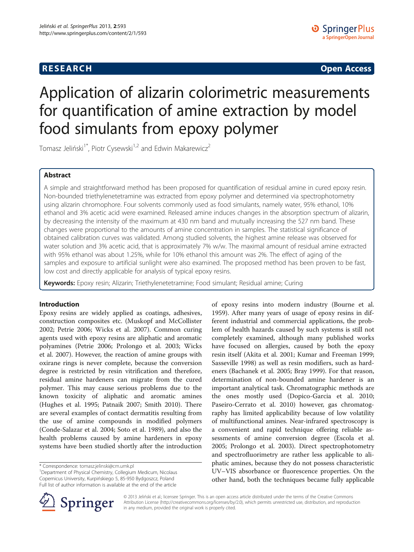## **RESEARCH CHINESE ARCH CHINESE ARCH CHINESE ARCH <b>CHINESE ARCH**

# Application of alizarin colorimetric measurements for quantification of amine extraction by model food simulants from epoxy polymer

Tomasz Jeliński<sup>1\*</sup>, Piotr Cysewski<sup>1,2</sup> and Edwin Makarewicz<sup>2</sup>

## Abstract

A simple and straightforward method has been proposed for quantification of residual amine in cured epoxy resin. Non-bounded triethylenetetramine was extracted from epoxy polymer and determined via spectrophotometry using alizarin chromophore. Four solvents commonly used as food simulants, namely water, 95% ethanol, 10% ethanol and 3% acetic acid were examined. Released amine induces changes in the absorption spectrum of alizarin, by decreasing the intensity of the maximum at 430 nm band and mutually increasing the 527 nm band. These changes were proportional to the amounts of amine concentration in samples. The statistical significance of obtained calibration curves was validated. Among studied solvents, the highest amine release was observed for water solution and 3% acetic acid, that is approximately 7% w/w. The maximal amount of residual amine extracted with 95% ethanol was about 1.25%, while for 10% ethanol this amount was 2%. The effect of aging of the samples and exposure to artificial sunlight were also examined. The proposed method has been proven to be fast, low cost and directly applicable for analysis of typical epoxy resins.

Keywords: Epoxy resin; Alizarin; Triethylenetetramine; Food simulant; Residual amine; Curing

## Introduction

Epoxy resins are widely applied as coatings, adhesives, construction composites etc. (Muskopf and McCollister [2002](#page-8-0); Petrie [2006](#page-9-0); Wicks et al. [2007\)](#page-9-0). Common curing agents used with epoxy resins are aliphatic and aromatic polyamines (Petrie [2006](#page-9-0); Prolongo et al. [2003](#page-9-0); Wicks et al. [2007\)](#page-9-0). However, the reaction of amine groups with oxirane rings is never complete, because the conversion degree is restricted by resin vitrification and therefore, residual amine hardeners can migrate from the cured polymer. This may cause serious problems due to the known toxicity of aliphatic and aromatic amines (Hughes et al. [1995;](#page-8-0) Patnaik [2007;](#page-9-0) Smith [2010\)](#page-9-0). There are several examples of contact dermatitis resulting from the use of amine compounds in modified polymers (Conde-Salazar et al. [2004;](#page-8-0) Soto et al. [1989\)](#page-9-0), and also the health problems caused by amine hardeners in epoxy systems have been studied shortly after the introduction

<sup>1</sup> Department of Physical Chemistry, Collegium Medicum, Nicolaus Copernicus University, Kurpińskiego 5, 85-950 Bydgoszcz, Poland Full list of author information is available at the end of the article





© 2013 Jeliński et al.; licensee Springer. This is an open access article distributed under the terms of the Creative Commons Attribution License [\(http://creativecommons.org/licenses/by/2.0\)](http://creativecommons.org/licenses/by/2.0), which permits unrestricted use, distribution, and reproduction in any medium, provided the original work is properly cited.

<sup>\*</sup> Correspondence: [tomasz.jelinski@cm.umk.pl](mailto:tomasz.jelinski@cm.umk.pl) <sup>1</sup>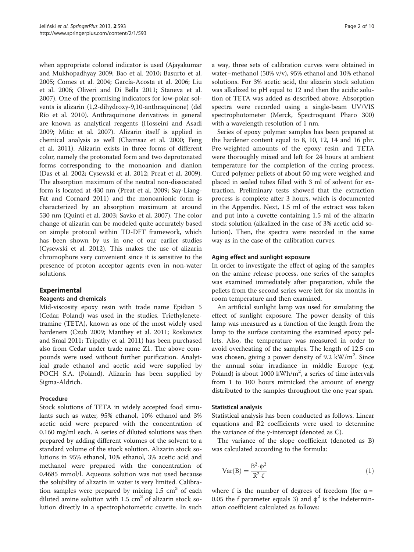when appropriate colored indicator is used (Ajayakumar and Mukhopadhyay [2009;](#page-8-0) Bao et al. [2010;](#page-8-0) Basurto et al. [2005](#page-8-0); Comes et al. [2004;](#page-8-0) García-Acosta et al. [2006](#page-8-0); Liu et al. [2006;](#page-8-0) Oliveri and Di Bella [2011](#page-8-0); Staneva et al. [2007](#page-9-0)). One of the promising indicators for low-polar solvents is alizarin (1,2-dihydroxy-9,10-anthraquinone) (del Río et al. [2010\)](#page-8-0). Anthraquinone derivatives in general are known as analytical reagents (Hosseini and Asadi [2009](#page-8-0); Mitic et al. [2007](#page-8-0)). Alizarin itself is applied in chemical analysis as well (Chamsaz et al. [2000](#page-8-0); Feng et al. [2011](#page-8-0)). Alizarin exists in three forms of different color, namely the protonated form and two deprotonated forms corresponding to the monoanion and dianion (Das et al. [2002;](#page-8-0) Cysewski et al. [2012;](#page-8-0) Preat et al. [2009](#page-9-0)). The absorption maximum of the neutral non-dissociated form is located at 430 nm (Preat et al. [2009](#page-9-0); Say-Liang-Fat and Cornard [2011\)](#page-9-0) and the monoanionic form is characterized by an absorption maximum at around 530 nm (Quinti et al. [2003;](#page-9-0) Savko et al. [2007\)](#page-9-0). The color change of alizarin can be modeled quite accurately based on simple protocol within TD-DFT framework, which has been shown by us in one of our earlier studies (Cysewski et al. [2012](#page-8-0)). This makes the use of alizarin chromophore very convenient since it is sensitive to the presence of proton acceptor agents even in non-water solutions.

#### Experimental

#### Reagents and chemicals

Mid-viscosity epoxy resin with trade name Epidian 5 (Cedar, Poland) was used in the studies. Triethylenetetramine (TETA), known as one of the most widely used hardeners (Czub [2009;](#page-8-0) Manthey et al. [2011](#page-8-0); Roskowicz and Smal [2011;](#page-9-0) Tripathy et al. [2011](#page-9-0)) has been purchased also from Cedar under trade name Z1. The above compounds were used without further purification. Analytical grade ethanol and acetic acid were supplied by POCH S.A. (Poland). Alizarin has been supplied by Sigma-Aldrich.

#### Procedure

Stock solutions of TETA in widely accepted food simulants such as water, 95% ethanol, 10% ethanol and 3% acetic acid were prepared with the concentration of 0.160 mg/ml each. A series of diluted solutions was then prepared by adding different volumes of the solvent to a standard volume of the stock solution. Alizarin stock solutions in 95% ethanol, 10% ethanol, 3% acetic acid and methanol were prepared with the concentration of 0.4685 mmol/l. Aqueous solution was not used because the solubility of alizarin in water is very limited. Calibration samples were prepared by mixing  $1.5 \text{ cm}^3$  of each diluted amine solution with  $1.5 \text{ cm}^3$  of alizarin stock solution directly in a spectrophotometric cuvette. In such

a way, three sets of calibration curves were obtained in water–methanol (50% v/v), 95% ethanol and 10% ethanol solutions. For 3% acetic acid, the alizarin stock solution was alkalized to pH equal to 12 and then the acidic solution of TETA was added as described above. Absorption spectra were recorded using a single-beam UV/VIS spectrophotometer (Merck, Spectroquant Pharo 300) with a wavelength resolution of 1 nm.

Series of epoxy polymer samples has been prepared at the hardener content equal to 8, 10, 12, 14 and 16 phr. Pre-weighted amounts of the epoxy resin and TETA were thoroughly mixed and left for 24 hours at ambient temperature for the completion of the curing process. Cured polymer pellets of about 50 mg were weighed and placed in sealed tubes filled with 3 ml of solvent for extraction. Preliminary tests showed that the extraction process is complete after 3 hours, which is documented in the [Appendix](#page-5-0). Next, 1.5 ml of the extract was taken and put into a cuvette containing 1.5 ml of the alizarin stock solution (alkalized in the case of 3% acetic acid solution). Then, the spectra were recorded in the same way as in the case of the calibration curves.

#### Aging effect and sunlight exposure

In order to investigate the effect of aging of the samples on the amine release process, one series of the samples was examined immediately after preparation, while the pellets from the second series were left for six months in room temperature and then examined.

An artificial sunlight lamp was used for simulating the effect of sunlight exposure. The power density of this lamp was measured as a function of the length from the lamp to the surface containing the examined epoxy pellets. Also, the temperature was measured in order to avoid overheating of the samples. The length of 12.5 cm was chosen, giving a power density of 9.2  $kW/m^2$ . Since the annual solar irradiance in middle Europe (e.g. Poland) is about 1000 kWh/ $m^2$ , a series of time intervals from 1 to 100 hours mimicked the amount of energy distributed to the samples throughout the one year span.

#### Statistical analysis

Statistical analysis has been conducted as follows. Linear equations and R2 coefficients were used to determine the variance of the y-intercept (denoted as C).

The variance of the slope coefficient (denoted as B) was calculated according to the formula:

$$
Var(B) = \frac{B^2 \cdot \phi^2}{R^2 \cdot f}
$$
 (1)

where f is the number of degrees of freedom (for  $\alpha =$ 0.05 the f parameter equals 3) and  $\phi^2$  is the indetermination coefficient calculated as follows: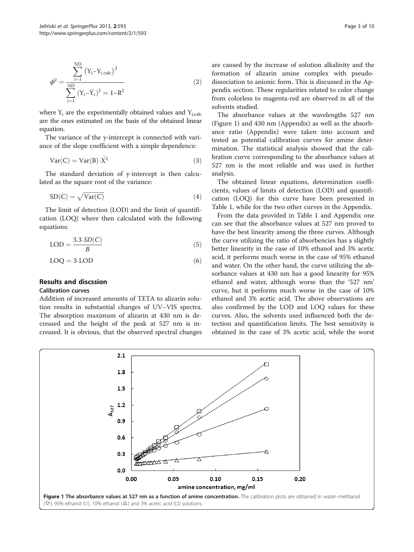$$
\phi^{2} = \frac{\sum_{i=1}^{ND} (Y_{i} - Y_{i, calc})^{2}}{\sum_{i=1}^{ND} (Y_{i} - \bar{Y}_{i})^{2}} = 1 - R^{2}
$$
\n(2)

where  $Y_i$  are the experimentally obtained values and  $Y_{i,calc}$ are the ones estimated on the basis of the obtained linear equation.

The variance of the y-intercept is connected with variance of the slope coefficient with a simple dependence:

$$
Var(C) = Var(B) \cdot \bar{X^2}
$$
 (3)

The standard deviation of y-intercept is then calculated as the square root of the variance:

$$
SD(C) = \sqrt{Var(C)}
$$
\n(4)

The limit of detection (LOD) and the limit of quantification (LOQ) where then calculated with the following equations:

$$
LOD = \frac{3.3 \cdot SD(C)}{B} \tag{5}
$$

$$
LOQ = 3 \cdot LOD \tag{6}
$$

## Results and discssion

#### Calibration curves

Addition of increased amounts of TETA to alizarin solution results in substantial changes of UV–VIS spectra. The absorption maximum of alizarin at 430 nm is decreased and the height of the peak at 527 nm is increased. It is obvious, that the observed spectral changes are caused by the increase of solution alkalinity and the formation of alizarin amine complex with pseudodissociation to anionic form. This is discussed in the [Ap](#page-5-0)[pendix](#page-5-0) section. These regularities related to color change from colorless to magenta-red are observed in all of the solvents studied.

The absorbance values at the wavelengths 527 nm (Figure 1) and 430 nm ([Appendix](#page-5-0)) as well as the absorbance ratio [\(Appendix](#page-5-0)) were taken into account and tested as potential calibration curves for amine determination. The statistical analysis showed that the calibration curve corresponding to the absorbance values at 527 nm is the most reliable and was used in further analysis.

The obtained linear equations, determination coefficients, values of limits of detection (LOD) and quantification (LOQ) for this curve have been presented in Table [1,](#page-3-0) while for the two other curves in the [Appendix](#page-5-0).

From the data provided in Table [1](#page-3-0) and [Appendix](#page-5-0) one can see that the absorbance values at 527 nm proved to have the best linearity among the three curves. Although the curve utilizing the ratio of absorbencies has a slightly better linearity in the case of 10% ethanol and 3% acetic acid, it performs much worse in the case of 95% ethanol and water. On the other hand, the curve utilizing the absorbance values at 430 nm has a good linearity for 95% ethanol and water, although worse than the '527 nm' curve, but it performs much worse in the case of 10% ethanol and 3% acetic acid. The above observations are also confirmed by the LOD and LOQ values for these curves. Also, the solvents used influenced both the detection and quantification limits. The best sensitivity is obtained in the case of 3% acetic acid, while the worst

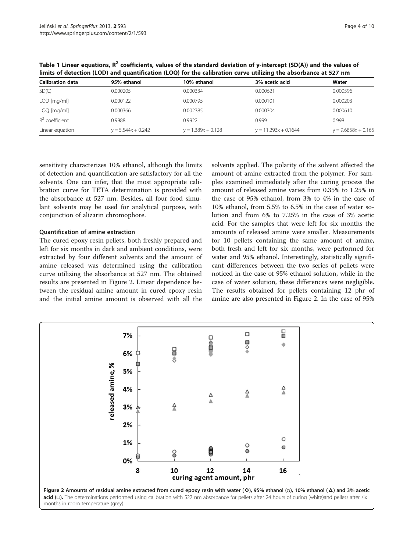| <b>Calibration data</b> | 95% ethanol          | 10% ethanol          | 3% acetic acid         | Water                 |  |  |
|-------------------------|----------------------|----------------------|------------------------|-----------------------|--|--|
| SD(C)                   | 0.000205             | 0.000334             | 0.000621               | 0.000596              |  |  |
| LOD [mg/ml]             | 0.000122             | 0.000795             | 0.000101               | 0.000203              |  |  |
| $LOQ$ [mg/ml]           | 0.000366             | 0.002385             | 0.000304               | 0.000610              |  |  |
| $R^2$ coefficient       | 0.9988               | 0.9922               | 0.999                  | 0.998                 |  |  |
| Linear equation         | $y = 5.544x + 0.242$ | $y = 1.389x + 0.128$ | $y = 11.293x + 0.1644$ | $y = 9.6858x + 0.165$ |  |  |

<span id="page-3-0"></span>Table 1 Linear equations,  $R^2$  coefficients, values of the standard deviation of y-intercept (SD(A)) and the values of limits of detection (LOD) and quantification (LOQ) for the calibration curve utilizing the absorbance at 527 nm

sensitivity characterizes 10% ethanol, although the limits of detection and quantification are satisfactory for all the solvents. One can infer, that the most appropriate calibration curve for TETA determination is provided with the absorbance at 527 nm. Besides, all four food simulant solvents may be used for analytical purpose, with conjunction of alizarin chromophore.

#### Quantification of amine extraction

The cured epoxy resin pellets, both freshly prepared and left for six months in dark and ambient conditions, were extracted by four different solvents and the amount of amine released was determined using the calibration curve utilizing the absorbance at 527 nm. The obtained results are presented in Figure 2. Linear dependence between the residual amine amount in cured epoxy resin and the initial amine amount is observed with all the

solvents applied. The polarity of the solvent affected the amount of amine extracted from the polymer. For samples examined immediately after the curing process the amount of released amine varies from 0.35% to 1.25% in the case of 95% ethanol, from 3% to 4% in the case of 10% ethanol, from 5.5% to 6.5% in the case of water solution and from 6% to 7.25% in the case of 3% acetic acid. For the samples that were left for six months the amounts of released amine were smaller. Measurements for 10 pellets containing the same amount of amine, both fresh and left for six months, were performed for water and 95% ethanol. Interestingly, statistically significant differences between the two series of pellets were noticed in the case of 95% ethanol solution, while in the case of water solution, these differences were negligible. The results obtained for pellets containing 12 phr of amine are also presented in Figure 2. In the case of 95%

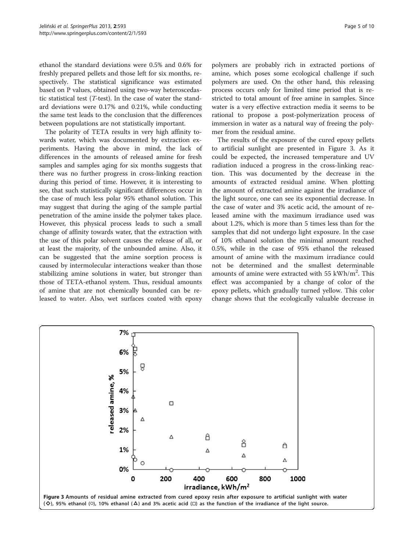ethanol the standard deviations were 0.5% and 0.6% for freshly prepared pellets and those left for six months, respectively. The statistical significance was estimated based on P values, obtained using two-way heteroscedastic statistical test (T-test). In the case of water the standard deviations were 0.17% and 0.21%, while conducting the same test leads to the conclusion that the differences between populations are not statistically important.

The polarity of TETA results in very high affinity towards water, which was documented by extraction experiments. Having the above in mind, the lack of differences in the amounts of released amine for fresh samples and samples aging for six months suggests that there was no further progress in cross-linking reaction during this period of time. However, it is interesting to see, that such statistically significant differences occur in the case of much less polar 95% ethanol solution. This may suggest that during the aging of the sample partial penetration of the amine inside the polymer takes place. However, this physical process leads to such a small change of affinity towards water, that the extraction with the use of this polar solvent causes the release of all, or at least the majority, of the unbounded amine. Also, it can be suggested that the amine sorption process is caused by intermolecular interactions weaker than those stabilizing amine solutions in water, but stronger than those of TETA-ethanol system. Thus, residual amounts of amine that are not chemically bounded can be released to water. Also, wet surfaces coated with epoxy

polymers are probably rich in extracted portions of amine, which poses some ecological challenge if such polymers are used. On the other hand, this releasing process occurs only for limited time period that is restricted to total amount of free amine in samples. Since water is a very effective extraction media it seems to be rational to propose a post-polymerization process of immersion in water as a natural way of freeing the polymer from the residual amine.

The results of the exposure of the cured epoxy pellets to artificial sunlight are presented in Figure 3. As it could be expected, the increased temperature and UV radiation induced a progress in the cross-linking reaction. This was documented by the decrease in the amounts of extracted residual amine. When plotting the amount of extracted amine against the irradiance of the light source, one can see its exponential decrease. In the case of water and 3% acetic acid, the amount of released amine with the maximum irradiance used was about 1.2%, which is more than 5 times less than for the samples that did not undergo light exposure. In the case of 10% ethanol solution the minimal amount reached 0.5%, while in the case of 95% ethanol the released amount of amine with the maximum irradiance could not be determined and the smallest determinable amounts of amine were extracted with  $55$  kWh/m<sup>2</sup>. This effect was accompanied by a change of color of the epoxy pellets, which gradually turned yellow. This color change shows that the ecologically valuable decrease in

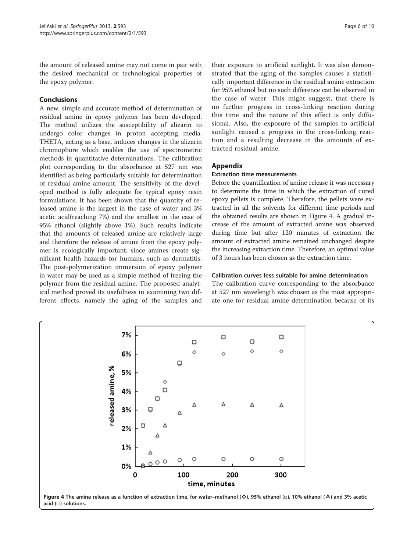<span id="page-5-0"></span>the amount of released amine may not come in pair with the desired mechanical or technological properties of the epoxy polymer.

## Conclusions

A new, simple and accurate method of determination of residual amine in epoxy polymer has been developed. The method utilizes the susceptibility of alizarin to undergo color changes in proton accepting media. THETA, acting as a base, induces changes in the alizarin chromophore which enables the use of spectrometric methods in quantitative determinations. The calibration plot corresponding to the absorbance at 527 nm was identified as being particularly suitable for determination of residual amine amount. The sensitivity of the developed method is fully adequate for typical epoxy resin formulations. It has been shown that the quantity of released amine is the largest in the case of water and 3% acetic acid(reaching 7%) and the smallest in the case of 95% ethanol (slightly above 1%). Such results indicate that the amounts of released amine are relatively large and therefore the release of amine from the epoxy polymer is ecologically important, since amines create significant health hazards for humans, such as dermatitis. The post-polymerization immersion of epoxy polymer in water may be used as a simple method of freeing the polymer from the residual amine. The proposed analytical method proved its usefulness in examining two different effects, namely the aging of the samples and

their exposure to artificial sunlight. It was also demonstrated that the aging of the samples causes a statistically important difference in the residual amine extraction for 95% ethanol but no such difference can be observed in the case of water. This might suggest, that there is no further progress in cross-linking reaction during this time and the nature of this effect is only diffusional. Also, the exposure of the samples to artificial sunlight caused a progress in the cross-linking reaction and a resulting decrease in the amounts of extracted residual amine.

## Appendix

## Extraction time measurements

Before the quantification of amine release it was necessary to determine the time in which the extraction of cured epoxy pellets is complete. Therefore, the pellets were extracted in all the solvents for different time periods and the obtained results are shown in Figure 4. A gradual increase of the amount of extracted amine was observed during time but after 120 minutes of extraction the amount of extracted amine remained unchanged despite the increasing extraction time. Therefore, an optimal value of 3 hours has been chosen as the extraction time.

## Calibration curves less suitable for amine determination

The calibration curve corresponding to the absorbance at 527 nm wavelength was chosen as the most appropriate one for residual amine determination because of its

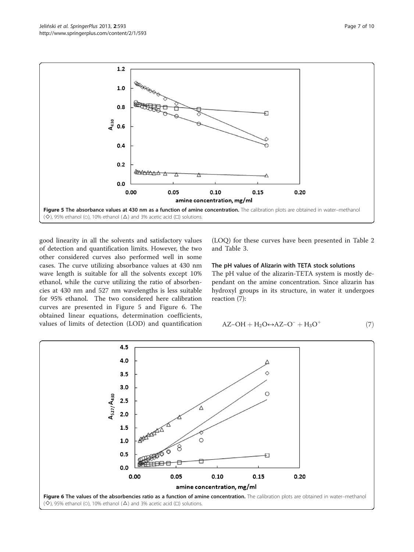

good linearity in all the solvents and satisfactory values of detection and quantification limits. However, the two other considered curves also performed well in some cases. The curve utilizing absorbance values at 430 nm wave length is suitable for all the solvents except 10% ethanol, while the curve utilizing the ratio of absorbencies at 430 nm and 527 nm wavelengths is less suitable for 95% ethanol. The two considered here calibration curves are presented in Figure 5 and Figure 6. The obtained linear equations, determination coefficients, values of limits of detection (LOD) and quantification (LOQ) for these curves have been presented in Table [2](#page-7-0) and Table [3](#page-7-0).

#### The pH values of Alizarin with TETA stock solutions

The pH value of the alizarin-TETA system is mostly dependant on the amine concentration. Since alizarin has hydroxyl groups in its structure, in water it undergoes reaction ([7\)](#page-7-0):

$$
AZ-OH + H_2O \leftrightarrow AZ-O^- + H_3O^+ \tag{7}
$$

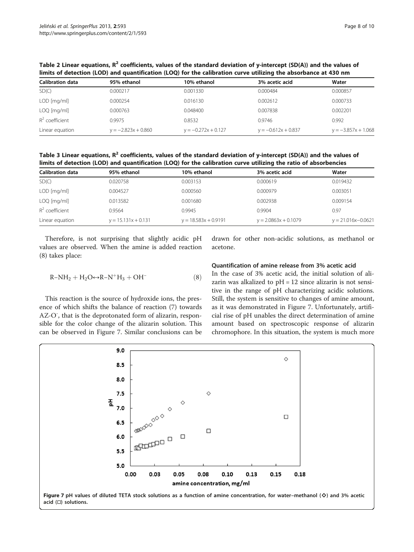| <b>Calibration data</b> | 95% ethanol           | 10% ethanol           | 3% acetic acid        | Water                 |  |  |
|-------------------------|-----------------------|-----------------------|-----------------------|-----------------------|--|--|
| SD(C)                   | 0.000217              | 0.001330              | 0.000484              | 0.000857              |  |  |
| $LOD$ [mg/ml]           | 0.000254              | 0.016130              | 0.002612              | 0.000733              |  |  |
| $LOQ$ [mg/ml]           | 0.000763              | 0.048400              | 0.007838              | 0.002201              |  |  |
| $R^2$ coefficient       | 0.9975                | 0.8532                | 0.9746                | 0.992                 |  |  |
| Linear equation         | $y = -2.823x + 0.860$ | $y = -0.272x + 0.127$ | $y = -0.612x + 0.837$ | $y = -3.857x + 1.068$ |  |  |
|                         |                       |                       |                       |                       |  |  |

<span id="page-7-0"></span>Table 2 Linear equations,  $R^2$  coefficients, values of the standard deviation of y-intercept (SD(A)) and the values of limits of detection (LOD) and quantification (LOQ) for the calibration curve utilizing the absorbance at 430 nm

Table 3 Linear equations,  $R^2$  coefficients, values of the standard deviation of y-intercept (SD(A)) and the values of limits of detection (LOD) and quantification (LOQ) for the calibration curve utilizing the ratio of absorbencies

| Calibration data  | 95% ethanol           | 10% ethanol            | 3% acetic acid         | Water                  |
|-------------------|-----------------------|------------------------|------------------------|------------------------|
| SD(C)             | 0.020758              | 0.003153               | 0.000619               | 0.019432               |
| $LOD$ [mg/ml]     | 0.004527              | 0.000560               | 0.000979               | 0.003051               |
| $LOQ$ [mg/ml]     | 0.013582              | 0.001680               | 0.002938               | 0.009154               |
| $R^2$ coefficient | 0.9564                | 0.9945                 | 0.9904                 | 0.97                   |
| Linear equation   | $y = 15.131x + 0.131$ | $y = 18.583x + 0.9191$ | $y = 2.0863x + 0.1079$ | $y = 21.016x - 0.0621$ |

Therefore, is not surprising that slightly acidic pH values are observed. When the amine is added reaction (8) takes place:

$$
R\text{-}NH_2 + H_2O\text{\ensuremath{\leftrightarrow}} R\text{-}N^+H_3 + OH^-\qquad \qquad (8)
$$

This reaction is the source of hydroxide ions, the presence of which shifts the balance of reaction (7) towards AZ-O<sup>-</sup>, that is the deprotonated form of alizarin, responsible for the color change of the alizarin solution. This can be observed in Figure 7. Similar conclusions can be

drawn for other non-acidic solutions, as methanol or acetone.

## Quantification of amine release from 3% acetic acid

In the case of 3% acetic acid, the initial solution of alizarin was alkalized to pH = 12 since alizarin is not sensitive in the range of pH characterizing acidic solutions. Still, the system is sensitive to changes of amine amount, as it was demonstrated in Figure 7. Unfortunately, artificial rise of pH unables the direct determination of amine amount based on spectroscopic response of alizarin chromophore. In this situation, the system is much more

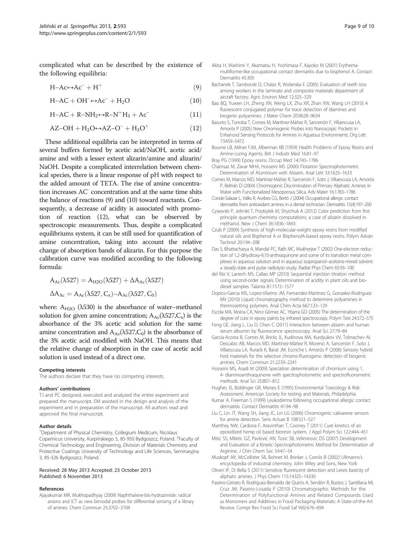<span id="page-8-0"></span>complicated what can be described by the existence of the following equilibria:

$$
H - Ac \leftrightarrow Ac^- + H^+ \tag{9}
$$

$$
H - AC + OH^- \leftrightarrow Ac^- + H_2O \tag{10}
$$

$$
H-AC + R-NH_2 \leftrightarrow R-N^+H_3 + Ac^-\tag{11}
$$

$$
AZ-OH + H_2O \leftrightarrow AZ-O^- + H_3O^+ \tag{12}
$$

These additional equilibria can be interpreted in terms of several buffers formed by acetic acid/NaOH, acetic acid/ amine and with a lesser extent alizarin/amine and alizarin/ NaOH. Despite a complicated interrelation between chemical species, there is a linear response of pH with respect to the added amount of TETA. The rise of amine concentration increases AC- concentration and at the same time shits the balance of reactions (9) and (10) toward reactants. Consequently, a decrease of acidity is associated with promotion of reaction (12), what can be observed by spectroscopic measurements. Thus, despite a complicated equilibriums system, it can be still used for quantification of amine concentration, taking into account the relative change of absorption bands of alizarin. For this purpose the calibration curve was modified according to the following formula:

$$
\begin{array}{l} A_{Ac}(\lambda527)=A_{H2O}(\lambda527)+\Delta A_{Ac}(\lambda527)\\ \\ \Delta A_{Ac}=A_{Ac}(\lambda527,C_x)\text{-}A_{Ac}(\lambda527,C_0)\end{array}
$$

where:  $A_{H2O}$  ( $\lambda$ 530) is the absorbance of water–methanol solution for given amine concentration;  $A_{AC}(\lambda 527,C_x)$  is the absorbance of the 3% acetic acid solution for the same amine concentration and  $A_{Ac}(\lambda 527,C_0)$  is the absorbance of the 3% acetic acid modified with NaOH. This means that the relative change of absorption in the case of acetic acid solution is used instead of a direct one.

#### Competing interests

The authors declare that they have no competing interests.

#### Authors' contributions

TJ and PC designed, executed and analyzed the entire experiment and prepared the manuscript. EM assisted in the design and analysis of the experiment and in preparation of the manuscript. All authors read and approved the final manuscript.

#### Author details

<sup>1</sup>Department of Physical Chemistry, Collegium Medicum, Nicolaus Copernicus University, Kurpińskiego 5, 85-950 Bydgoszcz, Poland. <sup>2</sup>Faculty of Chemical Technology and Engineering, Division of Materials Chemistry and Protective Coatings University of Technology and Life Sciences, Seminaryjna 3, 85-326 Bydgoszcz, Poland.

#### Received: 28 May 2013 Accepted: 23 October 2013 Published: 6 November 2013

#### References

Ajayakumar MR, Mukhopadhyay (2009) Naphthalene-bis-hydrazimide: radical anions and ICT as new bimodal probes for differential sensing of a library of amines. Chem Commun 25:3702–3704

- Akita H, Washimi Y, Akamatsu H, Yoshimasa F, Kayoko M (2001) Erythemamultiforme-like occupational contact dermatitis due to bisphenol A. Contact Dermatitis 45:305
- Bachanek T, Samborski D, Chalas R, Wolanska E (2005) Evaluation of teeth loss among workers in the laminate and composite materials department of aircraft factory. Agric Environ Med 12:325–329
- Bao BQ, Yuwen LH, Zheng XN, Weng LX, Zhu XR, Zhan XW, Wang LH (2010) A fluorescent conjugated polymer for trace detection of diamines and biogenic polyamines. J Mater Chem 20:9628–9634
- Basurto S, Torroba T, Comes M, Martínez-Máñez R, Sancenón F, Villaescusa LA, Amorós P (2005) New Chromogenic Probes into Nanoscopic Pockets in Enhanced Sensing Protocols for Amines in Aqueous Environments. Org Lett 7:5459–5472
- Bourne LB, Milner FJM, Alberman KB (1959) Health Problems of Epoxy Resins and Amine-curing Agents. Brit J Industr Med 16:81–97
- Bray PG (1999) Epoxy resins. Occup Med 14:743–1786
- Chamsaz M, Zavar MHA, Hosseini MS (2000) Flotation Spectrophotometric Determination of Aluminium with Alizarin. Anal Lett 33:1625–1633
- Comes M, Marcos MD, Martínez-Máñez R, Sancenón F, Soto J, Villaescusa LA, Amorós P, Beltrán D (2004) Chromogenic Discrimination of Primary Aliphatic Amines in Water with Functionalized Mesoporous Silica. Adv Mater 16:1783–1786
- Conde-Salazar L, Valks R, Acebes CG, Bertó J (2004) Occupational allergic contact dermatitis from antioxidant amines in a dental technician. Dermatitis 15(4):197–200
- Cysewski P, Jelinski T, Przybylek M, Shyichuk A (2012) Color prediction from first principle quantum chemistry computations: a case of alizarin dissolved in methanol. New J Chem 36:1836–1843
- Czub P (2009) Synthesis of high-molecular-weight epoxy resins from modified natural oils and Bisphenol A or BisphenolA-based epoxy resins. Polym Advan Technol 20:194–208
- Das S, Bhattacharya A, Mandal PC, Rath MC, Mukherjee T (2002) One-electron reduction of 1,2-dihydroxy-9,10-anthraquinone and some of its transition metal complexes in aqueous solution and in aqueous isopropanol–acetone-mixed solvent: a steady-state and pulse radiolysis study. Radiat Phys Chem 65:93–100
- del Río V, Larrech MS, Callao MP (2010) Sequential injection titration method using second-order signals: Determination of acidity in plant oils and biodiesel samples. Talanta 81:1572–1577
- Dopico-Garcia MS, Lopez-Vilarino JM, Fernandez-Martinez G, Gonzalez-Rodriguez MV (2010) Liquid chromatography method to determine polyamines in thermosetting polymers. Anal Chim Acta 667:123–129
- Escola MA, Moina CA, Nino Gómez AC, Ybarra GO (2005) The determination of the degree of cure in epoxy paints by infrared spectroscopy. Polym Test 24:572–575
- Feng GE, Jiang L, Liu D, Chen C (2011) Interaction between alizarin and human serum albumin by fluorescence spectroscopy. Anal Sci 27:79–84
- García-Acosta B, Comes M, Bricks JL, Kudinova MA, Kurdyukov VV, Tolmachev AI, Descalzo AB, Marcos MD, Martínez-Máñez R, Moreno A, Sancenón F, Soto J, Villaescusa LA, Rurack K, Barat JM, Escriche I, Amorós P (2006) Sensory hybrid host materials for the selective chromo-fluorogenic detection of biogenic amines. Chem Commun 21:2239–2241
- Hosseini MS, Asadi M (2009) Speciation determination of chromium using 1, 4- diaminoanthraquinone with spectrophotometric and spectrofluorometric methods. Anal Sci 25:807–812
- Hughes JS, Biddinger GR, Mones E (1995) Environmental Toxicology & Risk Assessment. American Society for testing and Materials, Philadelphia
- Kumar A, Freeman S (1999) Leukoderma following occupational allergic contact dermatitis. Contact Dermatitis 41:94–98
- Liu C, Lin JT, Wang SH, Jiang JC, Lin LG (2006) Chromogenic calixarene sensors for amine detection. Sens Actuat B 108:521–527
- Manthey NW, Cardona F, Aravinthan T, Cooney T (2011) Cure kinetics of an epoxidized hemp oil based bioresin system. J Appl Polym Sci 122:444–451
- Mitic SS, Miletic GZ, Pavlovic AN, Tosic SB, Velimirovic DS (2007) Development and Evaluation of a Kinetic-Spectrophotometric Method for Determination of Arginine. J Chin Chem Soc 54:47–54
- Muskopf JW, McCollister SB, Bohnet M, Brinker J, Comils B (2002) Ullmanns's encyclopedia of industrial chemistry. John Wiley and Sons, New York
- Oliveri IP, Di Bella S (2011) Sensitive fluorescent detection and Lewis basicity of aliphatic amines. J Phys Chem 115:14325–14330
- Paseiro-Cerrato R, Rodríguez-Bernaldo de Quirós A, Sendón R, Bustos J, Santillana MI, Cruz JM, Paseiro-Losada P (2010) Chromatographic Methods for the Determination of Polyfunctional Amines and Related Compounds Used as Monomers and Additives in Food Packaging Materials: A State-of-the-Art Review. Compr Rev Food Sci Food Saf 9(6):676–694